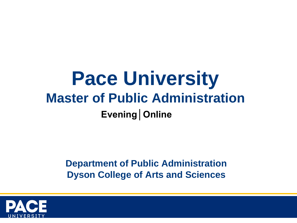# **Pace University Master of Public Administration Evening│Online**

**Department of Public Administration Dyson College of Arts and Sciences**

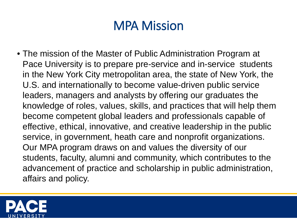## MPA Mission

• The mission of the Master of Public Administration Program at Pace University is to prepare pre-service and in-service students in the New York City metropolitan area, the state of New York, the U.S. and internationally to become value-driven public service leaders, managers and analysts by offering our graduates the knowledge of roles, values, skills, and practices that will help them become competent global leaders and professionals capable of effective, ethical, innovative, and creative leadership in the public service, in government, heath care and nonprofit organizations. Our MPA program draws on and values the diversity of our students, faculty, alumni and community, which contributes to the advancement of practice and scholarship in public administration, affairs and policy.

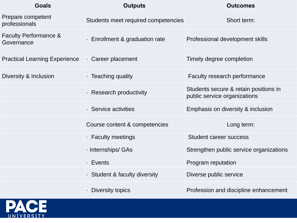| <b>Goals</b>                                   | <b>Outputs</b>                      | <b>Outcomes</b>                                                       |
|------------------------------------------------|-------------------------------------|-----------------------------------------------------------------------|
| Prepare competent<br>professionals             | Students meet required competencies | Short term:                                                           |
| <b>Faculty Performance &amp;</b><br>Governance | - Enrollment & graduation rate      | Professional development skills                                       |
| <b>Practical Learning Experience</b>           | Career placement                    | Timely degree completion                                              |
| Diversity & Inclusion                          | • Teaching quality                  | <b>Faculty research performance</b>                                   |
|                                                | · Research productivity             | Students secure & retain positions in<br>public service organizations |
|                                                | • Service activities                | Emphasis on diversity & inclusion                                     |
|                                                | Course content & competencies       | Long term:                                                            |
|                                                | · Faculty meetings                  | <b>Student career success</b>                                         |
|                                                | - Internships/ GAs                  | Strengthen public service organizations                               |
|                                                | • Events                            | <b>Program reputation</b>                                             |
|                                                | • Student & faculty diversity       | Diverse public service                                                |
|                                                | - Diversity topics                  | Profession and discipline enhancement                                 |

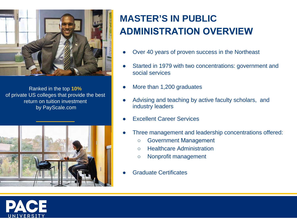

Ranked in the top **10%** of private US colleges that provide the best return on tuition investment by PayScale.com



## **MASTER'S IN PUBLIC ADMINISTRATION OVERVIEW**

- Over 40 years of proven success in the Northeast
- Started in 1979 with two concentrations: government and social services
- More than 1,200 graduates
- Advising and teaching by active faculty scholars, and industry leaders
- **Excellent Career Services**
- Three management and leadership concentrations offered:
	- Government Management
	- Healthcare Administration
	- Nonprofit management
- **Graduate Certificates**

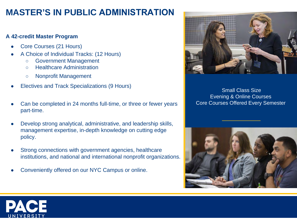## **MASTER'S IN PUBLIC ADMINISTRATION**

#### **A 42-credit Master Program**

- Core Courses (21 Hours)
- A Choice of Individual Tracks: (12 Hours)
	- Government Management
	- Healthcare Administration
	- Nonprofit Management
- **Electives and Track Specializations (9 Hours)**
- Can be completed in 24 months full-time, or three or fewer years part-time.
- Develop strong analytical, administrative, and leadership skills, management expertise, in-depth knowledge on cutting edge policy.
- Strong connections with government agencies, healthcare institutions, and national and international nonprofit organizations.
- Conveniently offered on our NYC Campus or online.



Small Class Size Evening & Online Courses Core Courses Offered Every Semester



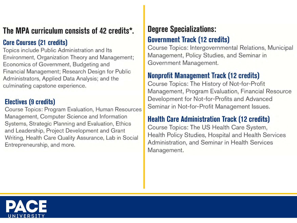## The MPA curriculum consists of 42 credits\*.

### **Core Courses (21 credits)**

Topics include Public Administration and Its Environment, Organization Theory and Management; Economics of Government, Budgeting and Financial Management; Research Design for Public Administrators, Applied Data Analysis; and the culminating capstone experience.

### **Electives (9 credits)**

Course Topics: Program Evaluation, Human Resources Management, Computer Science and Information Systems, Strategic Planning and Evaluation, Ethics and Leadership, Project Development and Grant Writing, Health Care Quality Assurance, Lab in Social Entrepreneurship, and more.

## **Degree Specializations:**

### **Government Track (12 credits)**

Course Topics: Intergovernmental Relations, Municipal Management, Policy Studies, and Seminar in Government Management.

### **Nonprofit Management Track (12 credits)**

Course Topics: The History of Not-for-Profit Management, Program Evaluation, Financial Resource Development for Not-for-Profits and Advanced Seminar in Not-for-Profit Management Issues.

### **Health Care Administration Track (12 credits)**

Course Topics: The US Health Care System, Health Policy Studies, Hospital and Health Services Administration, and Seminar in Health Services Management.

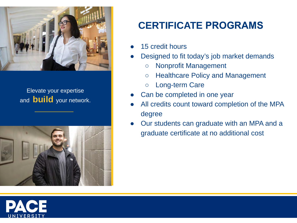

### Elevate your expertise and **build** your network.



## **CERTIFICATE PROGRAMS**

- 15 credit hours
- Designed to fit today's job market demands
	- Nonprofit Management
	- Healthcare Policy and Management
	- Long-term Care
- Can be completed in one year
- All credits count toward completion of the MPA degree
- Our students can graduate with an MPA and a graduate certificate at no additional cost

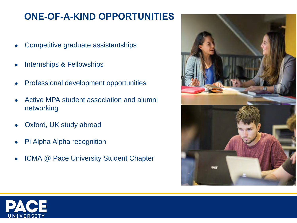## **ONE-OF-A-KIND OPPORTUNITIES**

- Competitive graduate assistantships
- Internships & Fellowships
- Professional development opportunities
- Active MPA student association and alumni networking
- Oxford, UK study abroad
- Pi Alpha Alpha recognition
- ICMA @ Pace University Student Chapter



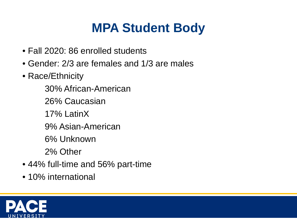# **MPA Student Body**

- Fall 2020: 86 enrolled students
- Gender: 2/3 are females and 1/3 are males
- Race/Ethnicity
	- 30% African-American
	- 26% Caucasian
	- 17% LatinX
	- 9% Asian-American
	- 6% Unknown
	- 2% Other
- 44% full-time and 56% part-time
- 10% international

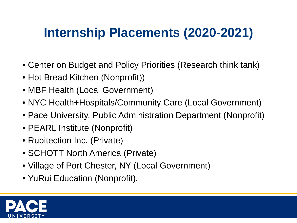# **Internship Placements (2020-2021)**

- Center on Budget and Policy Priorities (Research think tank)
- Hot Bread Kitchen (Nonprofit))
- MBF Health (Local Government)
- NYC Health+Hospitals/Community Care (Local Government)
- Pace University, Public Administration Department (Nonprofit)
- PEARL Institute (Nonprofit)
- Rubitection Inc. (Private)
- SCHOTT North America (Private)
- Village of Port Chester, NY (Local Government)
- YuRui Education (Nonprofit).

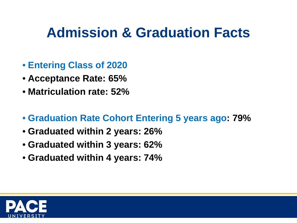# **Admission & Graduation Facts**

- **Entering Class of 2020**
- **Acceptance Rate: 65%**
- **Matriculation rate: 52%**
- **Graduation Rate Cohort Entering 5 years ago: 79%**
- **Graduated within 2 years: 26%**
- **Graduated within 3 years: 62%**
- **Graduated within 4 years: 74%**

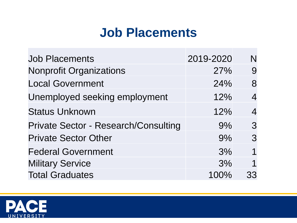## **Job Placements**

| <b>Job Placements</b>                       | 2019-2020 | N              |
|---------------------------------------------|-----------|----------------|
| <b>Nonprofit Organizations</b>              | 27%       | 9              |
| <b>Local Government</b>                     | 24%       | 8              |
| Unemployed seeking employment               | 12%       | $\overline{4}$ |
| <b>Status Unknown</b>                       | 12%       | 4              |
| <b>Private Sector - Research/Consulting</b> | 9%        | 3              |
| <b>Private Sector Other</b>                 | 9%        | 3              |
| <b>Federal Government</b>                   | 3%        | 1              |
| <b>Military Service</b>                     | 3%        | 1              |
| <b>Total Graduates</b>                      | 100%      | 33             |

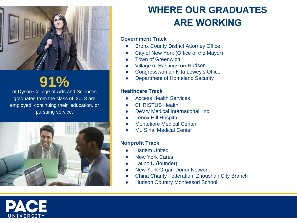

# **91%**

of Dyson College of Arts and Sciences graduates from the class of 2018 are employed, continuing their education, or pursuing service.



## **WHERE OUR GRADUATES ARE WORKING**

#### **Government Track**

- **Bronx County District Attorney Office**
- City of New York (Office of the Mayor)
- **Town of Greenwich**
- **Village of Hastings-on-Hudson**
- Congresswoman Nita Lowey's Office
- **Department of Homeland Security**

#### **Healthcare Track**

- **Access Health Services**
- **CHRISTUS Health**
- DeVry Medical International, Inc.
- **Lenox Hill Hospital**
- **Montefiore Medical Center**
- **Mt. Sinai Medical Center**

#### **Nonprofit Track**

- Harlem United
- **New York Cares**
- Latino U (founder)
- **New York Organ Donor Network**
- **China Charity Federation, Zhoushan City Branch**
- **Hudson Country Montessori School**

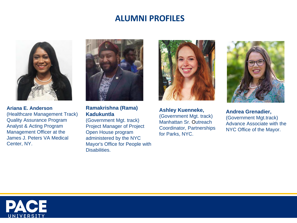### **ALUMNI PROFILES**



**Ariana E. Anderson**  (Healthcare Management Track) Quality Assurance Program Analyst & Acting Program Management Officer at the James J. Peters VA Medical Center, NY.



**Ramakrishna (Rama) Kadukuntla**

(Government Mgt. track) Project Manager of Project Open House program administered by the NYC Mayor's Office for People with Disabilities.



**Ashley Kuenneke,**  (Government Mgt. track) Manhattan Sr. Outreach Coordinator, Partnerships for Parks, NYC.



**Andrea Grenadier,**  (Government Mgt.track) Advance Associate with the NYC Office of the Mayor.

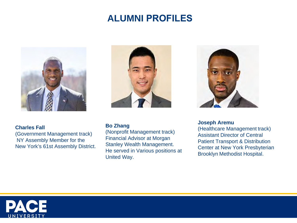## **ALUMNI PROFILES**



#### **Charles Fall**

(Government Management track) NY Assembly Member for the New York's 61st Assembly District.



#### **Bo Zhang**

(Nonprofit Management track) Financial Advisor at Morgan Stanley Wealth Management. He served in Various positions at United Way.



**Joseph Aremu**

(Healthcare Management track) Assistant Director of Central Patient Transport & Distribution Center at New York Presbyterian Brooklyn Methodist Hospital.

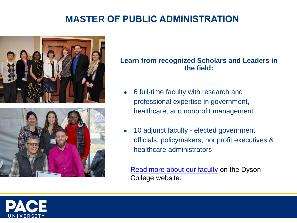## **MASTER OF PUBLIC ADMINISTRATION**



### **Learn from recognized Scholars and Leaders in the field:**

- 6 full-time faculty with research and professional expertise in government, healthcare, and nonprofit management
- 10 adjunct faculty elected government officials, policymakers, nonprofit executives & healthcare administrators

Read [more about our facult](https://www.pace.edu/dyson/faculty-and-research/faculty-directory?field_department_program=4236)y on the Dyson College website.

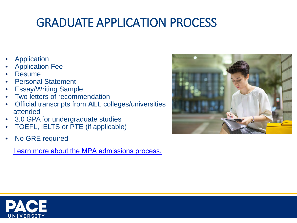## GRADUATE APPLICATION PROCESS

- **Application**
- **Application Fee**
- **Resume**
- Personal Statement
- Essay/Writing Sample
- Two letters of recommendation
- Official transcripts from **ALL** colleges/universities attended
- 3.0 GPA for undergraduate studies
- TOEFL, IELTS or PTE (if applicable)
- No GRE required

[Learn more about the MPA admissions process.](https://www.pace.edu/admission-and-aid/graduate-admission/how-apply/masters-programs)



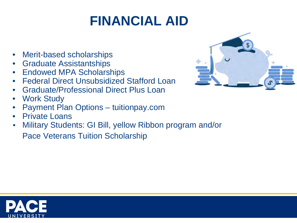# **FINANCIAL AID**

- Merit-based scholarships
- Graduate Assistantships
- Endowed MPA Scholarships
- Federal Direct Unsubsidized Stafford Loan
- Graduate/Professional Direct Plus Loan
- **Work Study**
- Payment Plan Options tuitionpay.com
- Private Loans
- Military Students: GI Bill, yellow Ribbon program and/or

Pace Veterans Tuition Scholarship